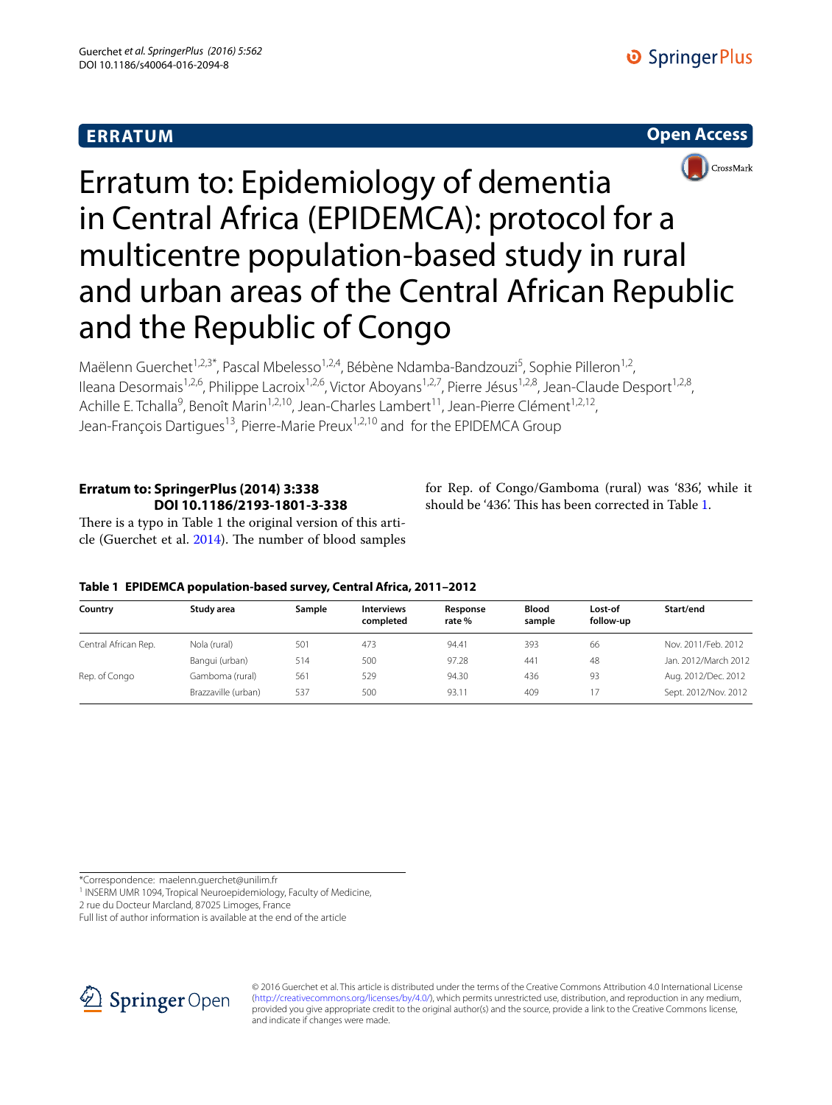## **ERRATUM**





# Erratum to: Epidemiology of dementia in Central Africa (EPIDEMCA): protocol for a multicentre population-based study in rural and urban areas of the Central African Republic and the Republic of Congo

Maëlenn Guerchet<sup>1,2,3\*</sup>, Pascal Mbelesso<sup>1,2,4</sup>, Bébène Ndamba-Bandzouzi<sup>5</sup>, Sophie Pilleron<sup>1,2</sup>, Ileana Desormais<sup>1,2,6</sup>, Philippe Lacroix<sup>1,2,6</sup>, Victor Aboyans<sup>1,2,7</sup>, Pierre Jésus<sup>1,2,8</sup>, Jean-Claude Desport<sup>1,2,8</sup>, Achille E. Tchalla<sup>9</sup>, Benoît Marin<sup>1,2,10</sup>, Jean-Charles Lambert<sup>11</sup>, Jean-Pierre Clément<sup>1,2,12</sup>, Jean-François Dartigues<sup>13</sup>, Pierre-Marie Preux<sup>1,2,10</sup> and for the EPIDEMCA Group

## **Erratum to: SpringerPlus (2014) 3:338 DOI 10.1186/2193‑1801‑3‑338**

for Rep. of Congo/Gamboma (rural) was '836', while it should be '436'. This has been corrected in Table [1](#page-0-0).

There is a typo in Table 1 the original version of this article (Guerchet et al. [2014](#page-1-0)). The number of blood samples

### <span id="page-0-0"></span>**Table 1 EPIDEMCA population-based survey, Central Africa, 2011–2012**

| Country              | Study area          | Sample | <b>Interviews</b><br>completed | Response<br>rate % | <b>Blood</b><br>sample | Lost-of<br>follow-up | Start/end            |
|----------------------|---------------------|--------|--------------------------------|--------------------|------------------------|----------------------|----------------------|
| Central African Rep. | Nola (rural)        | 501    | 473                            | 94.41              | 393                    | 66                   | Nov. 2011/Feb. 2012  |
|                      | Bangui (urban)      | 514    | 500                            | 97.28              | 44 <sup>°</sup>        | 48                   | Jan. 2012/March 2012 |
| Rep. of Congo        | Gamboma (rural)     | 561    | 529                            | 94.30              | 436                    | 93                   | Aug. 2012/Dec. 2012  |
|                      | Brazzaville (urban) | 537    | 500                            | 93.11              | 409                    | 17                   | Sept. 2012/Nov. 2012 |

\*Correspondence: maelenn.guerchet@unilim.fr

<sup>1</sup> INSERM UMR 1094, Tropical Neuroepidemiology, Faculty of Medicine,

2 rue du Docteur Marcland, 87025 Limoges, France

Full list of author information is available at the end of the article



© 2016 Guerchet et al. This article is distributed under the terms of the Creative Commons Attribution 4.0 International License [\(http://creativecommons.org/licenses/by/4.0/\)](http://creativecommons.org/licenses/by/4.0/), which permits unrestricted use, distribution, and reproduction in any medium, provided you give appropriate credit to the original author(s) and the source, provide a link to the Creative Commons license, and indicate if changes were made.